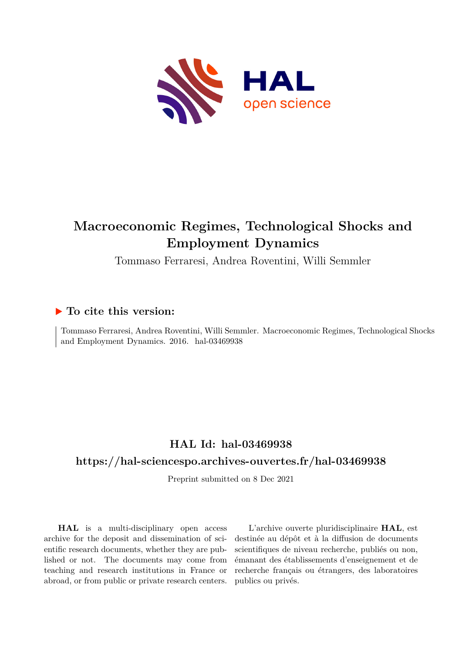

## **Macroeconomic Regimes, Technological Shocks and Employment Dynamics**

Tommaso Ferraresi, Andrea Roventini, Willi Semmler

## **To cite this version:**

Tommaso Ferraresi, Andrea Roventini, Willi Semmler. Macroeconomic Regimes, Technological Shocks and Employment Dynamics. 2016. hal-03469938

## **HAL Id: hal-03469938**

#### **<https://hal-sciencespo.archives-ouvertes.fr/hal-03469938>**

Preprint submitted on 8 Dec 2021

**HAL** is a multi-disciplinary open access archive for the deposit and dissemination of scientific research documents, whether they are published or not. The documents may come from teaching and research institutions in France or abroad, or from public or private research centers.

L'archive ouverte pluridisciplinaire **HAL**, est destinée au dépôt et à la diffusion de documents scientifiques de niveau recherche, publiés ou non, émanant des établissements d'enseignement et de recherche français ou étrangers, des laboratoires publics ou privés.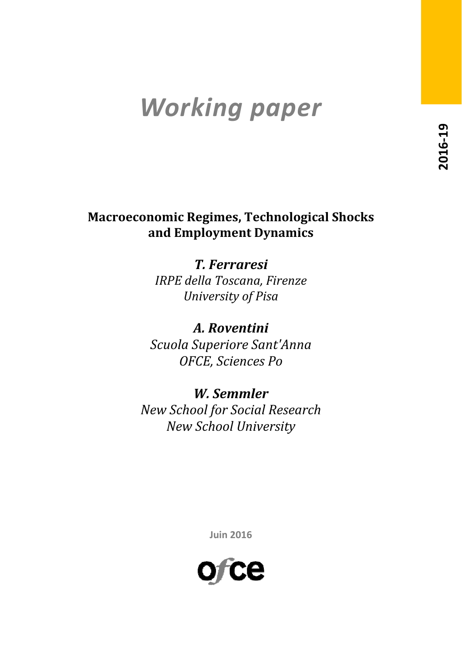# *Working paper*

## **Macroeconomic Regimes, Technological Shocks and Employment Dynamics**

*T. Ferraresi IRPE della Toscana, Firenze University of Pisa*

*A. Roventini Scuola Superiore Sant'Anna OFCE, Sciences Po*

*W. Semmler New School for Social Research New School University*

**Juin 2016**

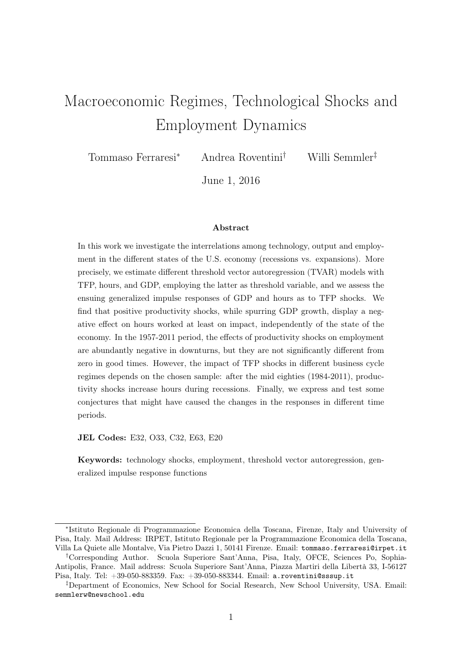## Macroeconomic Regimes, Technological Shocks and Employment Dynamics

Tommaso Ferraresi<sup>∗</sup> Andrea Roventini† Willi Semmler‡

June 1, 2016

#### Abstract

In this work we investigate the interrelations among technology, output and employment in the different states of the U.S. economy (recessions vs. expansions). More precisely, we estimate different threshold vector autoregression (TVAR) models with TFP, hours, and GDP, employing the latter as threshold variable, and we assess the ensuing generalized impulse responses of GDP and hours as to TFP shocks. We find that positive productivity shocks, while spurring GDP growth, display a negative effect on hours worked at least on impact, independently of the state of the economy. In the 1957-2011 period, the effects of productivity shocks on employment are abundantly negative in downturns, but they are not significantly different from zero in good times. However, the impact of TFP shocks in different business cycle regimes depends on the chosen sample: after the mid eighties (1984-2011), productivity shocks increase hours during recessions. Finally, we express and test some conjectures that might have caused the changes in the responses in different time periods.

JEL Codes: E32, O33, C32, E63, E20

Keywords: technology shocks, employment, threshold vector autoregression, generalized impulse response functions

<sup>∗</sup> Istituto Regionale di Programmazione Economica della Toscana, Firenze, Italy and University of Pisa, Italy. Mail Address: IRPET, Istituto Regionale per la Programmazione Economica della Toscana, Villa La Quiete alle Montalve, Via Pietro Dazzi 1, 50141 Firenze. Email: tommaso.ferraresi@irpet.it

<sup>†</sup>Corresponding Author. Scuola Superiore Sant'Anna, Pisa, Italy, OFCE, Sciences Po, Sophia-Antipolis, France. Mail address: Scuola Superiore Sant'Anna, Piazza Martiri della Libertà 33, I-56127 Pisa, Italy. Tel: +39-050-883359. Fax: +39-050-883344. Email: a.roventini@sssup.it

<sup>‡</sup>Department of Economics, New School for Social Research, New School University, USA. Email: semmlerw@newschool.edu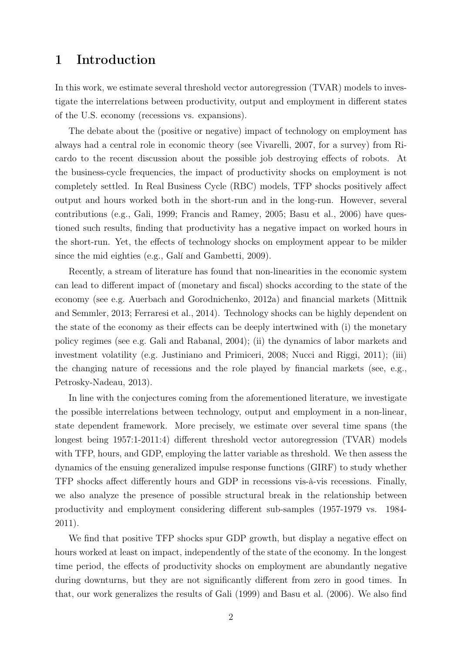## 1 Introduction

In this work, we estimate several threshold vector autoregression (TVAR) models to investigate the interrelations between productivity, output and employment in different states of the U.S. economy (recessions vs. expansions).

The debate about the (positive or negative) impact of technology on employment has always had a central role in economic theory (see Vivarelli, 2007, for a survey) from Ricardo to the recent discussion about the possible job destroying effects of robots. At the business-cycle frequencies, the impact of productivity shocks on employment is not completely settled. In Real Business Cycle (RBC) models, TFP shocks positively affect output and hours worked both in the short-run and in the long-run. However, several contributions (e.g., Gali, 1999; Francis and Ramey, 2005; Basu et al., 2006) have questioned such results, finding that productivity has a negative impact on worked hours in the short-run. Yet, the effects of technology shocks on employment appear to be milder since the mid eighties (e.g., Galí and Gambetti, 2009).

Recently, a stream of literature has found that non-linearities in the economic system can lead to different impact of (monetary and fiscal) shocks according to the state of the economy (see e.g. Auerbach and Gorodnichenko, 2012a) and financial markets (Mittnik and Semmler, 2013; Ferraresi et al., 2014). Technology shocks can be highly dependent on the state of the economy as their effects can be deeply intertwined with (i) the monetary policy regimes (see e.g. Gali and Rabanal, 2004); (ii) the dynamics of labor markets and investment volatility (e.g. Justiniano and Primiceri, 2008; Nucci and Riggi, 2011); (iii) the changing nature of recessions and the role played by financial markets (see, e.g., Petrosky-Nadeau, 2013).

In line with the conjectures coming from the aforementioned literature, we investigate the possible interrelations between technology, output and employment in a non-linear, state dependent framework. More precisely, we estimate over several time spans (the longest being 1957:1-2011:4) different threshold vector autoregression (TVAR) models with TFP, hours, and GDP, employing the latter variable as threshold. We then assess the dynamics of the ensuing generalized impulse response functions (GIRF) to study whether TFP shocks affect differently hours and GDP in recessions vis-à-vis recessions. Finally, we also analyze the presence of possible structural break in the relationship between productivity and employment considering different sub-samples (1957-1979 vs. 1984- 2011).

We find that positive TFP shocks spur GDP growth, but display a negative effect on hours worked at least on impact, independently of the state of the economy. In the longest time period, the effects of productivity shocks on employment are abundantly negative during downturns, but they are not significantly different from zero in good times. In that, our work generalizes the results of Gali (1999) and Basu et al. (2006). We also find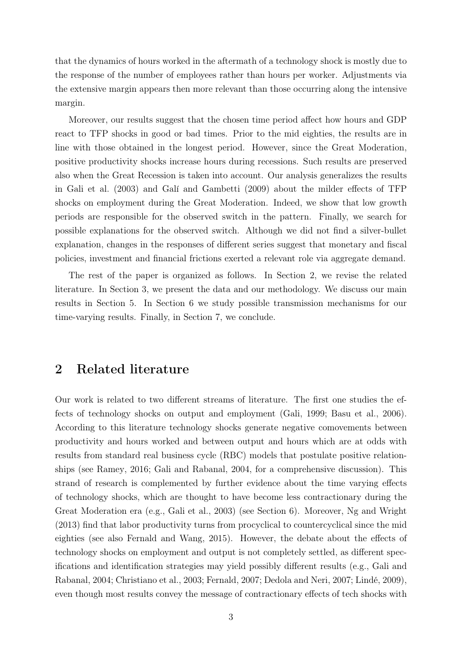that the dynamics of hours worked in the aftermath of a technology shock is mostly due to the response of the number of employees rather than hours per worker. Adjustments via the extensive margin appears then more relevant than those occurring along the intensive margin.

Moreover, our results suggest that the chosen time period affect how hours and GDP react to TFP shocks in good or bad times. Prior to the mid eighties, the results are in line with those obtained in the longest period. However, since the Great Moderation, positive productivity shocks increase hours during recessions. Such results are preserved also when the Great Recession is taken into account. Our analysis generalizes the results in Gali et al. (2003) and Galí and Gambetti (2009) about the milder effects of TFP shocks on employment during the Great Moderation. Indeed, we show that low growth periods are responsible for the observed switch in the pattern. Finally, we search for possible explanations for the observed switch. Although we did not find a silver-bullet explanation, changes in the responses of different series suggest that monetary and fiscal policies, investment and financial frictions exerted a relevant role via aggregate demand.

The rest of the paper is organized as follows. In Section 2, we revise the related literature. In Section 3, we present the data and our methodology. We discuss our main results in Section 5. In Section 6 we study possible transmission mechanisms for our time-varying results. Finally, in Section 7, we conclude.

## 2 Related literature

Our work is related to two different streams of literature. The first one studies the effects of technology shocks on output and employment (Gali, 1999; Basu et al., 2006). According to this literature technology shocks generate negative comovements between productivity and hours worked and between output and hours which are at odds with results from standard real business cycle (RBC) models that postulate positive relationships (see Ramey, 2016; Gali and Rabanal, 2004, for a comprehensive discussion). This strand of research is complemented by further evidence about the time varying effects of technology shocks, which are thought to have become less contractionary during the Great Moderation era (e.g., Gali et al., 2003) (see Section 6). Moreover, Ng and Wright (2013) find that labor productivity turns from procyclical to countercyclical since the mid eighties (see also Fernald and Wang, 2015). However, the debate about the effects of technology shocks on employment and output is not completely settled, as different specifications and identification strategies may yield possibly different results (e.g., Gali and Rabanal, 2004; Christiano et al., 2003; Fernald, 2007; Dedola and Neri, 2007; Lindé, 2009), even though most results convey the message of contractionary effects of tech shocks with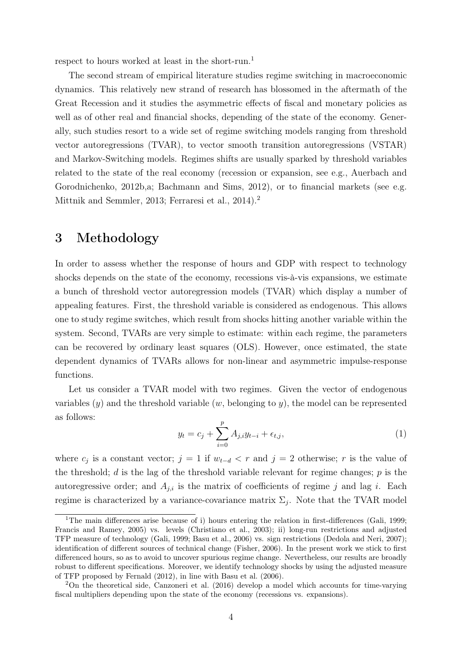respect to hours worked at least in the short-run.<sup>1</sup>

The second stream of empirical literature studies regime switching in macroeconomic dynamics. This relatively new strand of research has blossomed in the aftermath of the Great Recession and it studies the asymmetric effects of fiscal and monetary policies as well as of other real and financial shocks, depending of the state of the economy. Generally, such studies resort to a wide set of regime switching models ranging from threshold vector autoregressions (TVAR), to vector smooth transition autoregressions (VSTAR) and Markov-Switching models. Regimes shifts are usually sparked by threshold variables related to the state of the real economy (recession or expansion, see e.g., Auerbach and Gorodnichenko, 2012b,a; Bachmann and Sims, 2012), or to financial markets (see e.g. Mittnik and Semmler, 2013; Ferraresi et al., 2014).<sup>2</sup>

## 3 Methodology

In order to assess whether the response of hours and GDP with respect to technology shocks depends on the state of the economy, recessions vis-à-vis expansions, we estimate a bunch of threshold vector autoregression models (TVAR) which display a number of appealing features. First, the threshold variable is considered as endogenous. This allows one to study regime switches, which result from shocks hitting another variable within the system. Second, TVARs are very simple to estimate: within each regime, the parameters can be recovered by ordinary least squares (OLS). However, once estimated, the state dependent dynamics of TVARs allows for non-linear and asymmetric impulse-response functions.

Let us consider a TVAR model with two regimes. Given the vector of endogenous variables  $(y)$  and the threshold variable  $(w,$  belonging to y), the model can be represented as follows:

$$
y_t = c_j + \sum_{i=0}^p A_{j,i} y_{t-i} + \epsilon_{t,j},
$$
\n(1)

where  $c_j$  is a constant vector;  $j = 1$  if  $w_{t-d} < r$  and  $j = 2$  otherwise; r is the value of the threshold; d is the lag of the threshold variable relevant for regime changes;  $p$  is the autoregressive order; and  $A_{j,i}$  is the matrix of coefficients of regime j and lag i. Each regime is characterized by a variance-covariance matrix  $\Sigma_j$ . Note that the TVAR model

<sup>&</sup>lt;sup>1</sup>The main differences arise because of i) hours entering the relation in first-differences (Gali, 1999; Francis and Ramey, 2005) vs. levels (Christiano et al., 2003); ii) long-run restrictions and adjusted TFP measure of technology (Gali, 1999; Basu et al., 2006) vs. sign restrictions (Dedola and Neri, 2007); identification of different sources of technical change (Fisher, 2006). In the present work we stick to first differenced hours, so as to avoid to uncover spurious regime change. Nevertheless, our results are broadly robust to different specifications. Moreover, we identify technology shocks by using the adjusted measure of TFP proposed by Fernald (2012), in line with Basu et al. (2006).

<sup>2</sup>On the theoretical side, Canzoneri et al. (2016) develop a model which accounts for time-varying fiscal multipliers depending upon the state of the economy (recessions vs. expansions).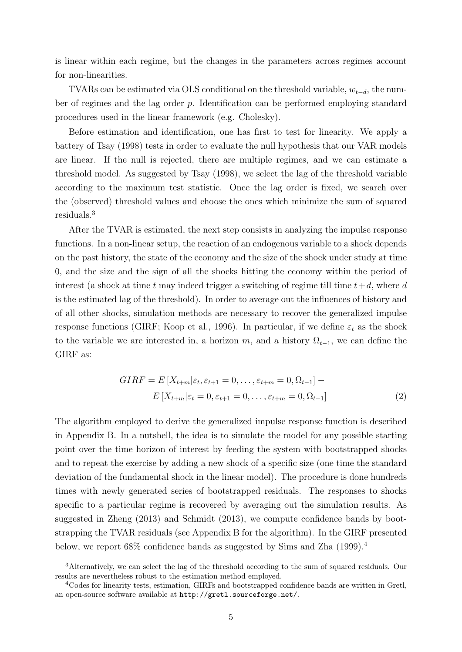is linear within each regime, but the changes in the parameters across regimes account for non-linearities.

TVARs can be estimated via OLS conditional on the threshold variable,  $w_{t-d}$ , the number of regimes and the lag order p. Identification can be performed employing standard procedures used in the linear framework (e.g. Cholesky).

Before estimation and identification, one has first to test for linearity. We apply a battery of Tsay (1998) tests in order to evaluate the null hypothesis that our VAR models are linear. If the null is rejected, there are multiple regimes, and we can estimate a threshold model. As suggested by Tsay (1998), we select the lag of the threshold variable according to the maximum test statistic. Once the lag order is fixed, we search over the (observed) threshold values and choose the ones which minimize the sum of squared residuals.<sup>3</sup>

After the TVAR is estimated, the next step consists in analyzing the impulse response functions. In a non-linear setup, the reaction of an endogenous variable to a shock depends on the past history, the state of the economy and the size of the shock under study at time 0, and the size and the sign of all the shocks hitting the economy within the period of interest (a shock at time t may indeed trigger a switching of regime till time  $t+d$ , where d is the estimated lag of the threshold). In order to average out the influences of history and of all other shocks, simulation methods are necessary to recover the generalized impulse response functions (GIRF; Koop et al., 1996). In particular, if we define  $\varepsilon_t$  as the shock to the variable we are interested in, a horizon m, and a history  $\Omega_{t-1}$ , we can define the GIRF as:

$$
GIRF = E[X_{t+m}|\varepsilon_t, \varepsilon_{t+1} = 0, \dots, \varepsilon_{t+m} = 0, \Omega_{t-1}] -
$$
  

$$
E[X_{t+m}|\varepsilon_t = 0, \varepsilon_{t+1} = 0, \dots, \varepsilon_{t+m} = 0, \Omega_{t-1}]
$$
 (2)

The algorithm employed to derive the generalized impulse response function is described in Appendix B. In a nutshell, the idea is to simulate the model for any possible starting point over the time horizon of interest by feeding the system with bootstrapped shocks and to repeat the exercise by adding a new shock of a specific size (one time the standard deviation of the fundamental shock in the linear model). The procedure is done hundreds times with newly generated series of bootstrapped residuals. The responses to shocks specific to a particular regime is recovered by averaging out the simulation results. As suggested in Zheng (2013) and Schmidt (2013), we compute confidence bands by bootstrapping the TVAR residuals (see Appendix B for the algorithm). In the GIRF presented below, we report 68% confidence bands as suggested by Sims and Zha (1999).<sup>4</sup>

<sup>3</sup>Alternatively, we can select the lag of the threshold according to the sum of squared residuals. Our results are nevertheless robust to the estimation method employed.

<sup>&</sup>lt;sup>4</sup>Codes for linearity tests, estimation, GIRFs and bootstrapped confidence bands are written in Gretl, an open-source software available at http://gretl.sourceforge.net/.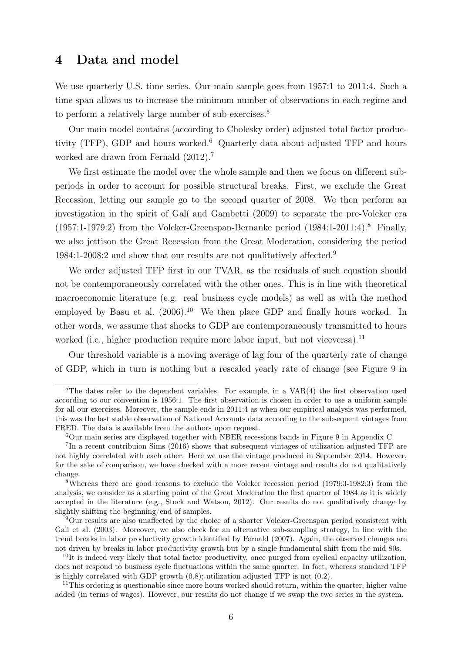### 4 Data and model

We use quarterly U.S. time series. Our main sample goes from 1957:1 to 2011:4. Such a time span allows us to increase the minimum number of observations in each regime and to perform a relatively large number of sub-exercises.<sup>5</sup>

Our main model contains (according to Cholesky order) adjusted total factor productivity (TFP), GDP and hours worked.<sup>6</sup> Quarterly data about adjusted TFP and hours worked are drawn from Fernald  $(2012).<sup>7</sup>$ 

We first estimate the model over the whole sample and then we focus on different subperiods in order to account for possible structural breaks. First, we exclude the Great Recession, letting our sample go to the second quarter of 2008. We then perform an investigation in the spirit of Galí and Gambetti (2009) to separate the pre-Volcker era  $(1957:1-1979:2)$  from the Volcker-Greenspan-Bernanke period  $(1984:1-2011:4)$ .<sup>8</sup> Finally, we also jettison the Great Recession from the Great Moderation, considering the period 1984:1-2008:2 and show that our results are not qualitatively affected.<sup>9</sup>

We order adjusted TFP first in our TVAR, as the residuals of such equation should not be contemporaneously correlated with the other ones. This is in line with theoretical macroeconomic literature (e.g. real business cycle models) as well as with the method employed by Basu et al.  $(2006)^{10}$  We then place GDP and finally hours worked. In other words, we assume that shocks to GDP are contemporaneously transmitted to hours worked (i.e., higher production require more labor input, but not viceversa).<sup>11</sup>

Our threshold variable is a moving average of lag four of the quarterly rate of change of GDP, which in turn is nothing but a rescaled yearly rate of change (see Figure 9 in

<sup>&</sup>lt;sup>5</sup>The dates refer to the dependent variables. For example, in a  $VAR(4)$  the first observation used according to our convention is 1956:1. The first observation is chosen in order to use a uniform sample for all our exercises. Moreover, the sample ends in 2011:4 as when our empirical analysis was performed, this was the last stable observation of National Accounts data according to the subsequent vintages from FRED. The data is available from the authors upon request.

 $6$ Our main series are displayed together with NBER recessions bands in Figure 9 in Appendix C.

<sup>&</sup>lt;sup>7</sup>In a recent contribuion Sims (2016) shows that subsequent vintages of utilization adjusted TFP are not highly correlated with each other. Here we use the vintage produced in September 2014. However, for the sake of comparison, we have checked with a more recent vintage and results do not qualitatively change.

<sup>8</sup>Whereas there are good reasons to exclude the Volcker recession period (1979:3-1982:3) from the analysis, we consider as a starting point of the Great Moderation the first quarter of 1984 as it is widely accepted in the literature (e.g., Stock and Watson, 2012). Our results do not qualitatively change by slightly shifting the beginning/end of samples.

<sup>9</sup>Our results are also unaffected by the choice of a shorter Volcker-Greenspan period consistent with Gali et al. (2003). Moreover, we also check for an alternative sub-sampling strategy, in line with the trend breaks in labor productivity growth identified by Fernald (2007). Again, the observed changes are not driven by breaks in labor productivity growth but by a single fundamental shift from the mid 80s.

<sup>&</sup>lt;sup>10</sup>It is indeed very likely that total factor productivity, once purged from cyclical capacity utilization, does not respond to business cycle fluctuations within the same quarter. In fact, whereas standard TFP is highly correlated with GDP growth (0.8); utilization adjusted TFP is not (0.2).

 $11$ This ordering is questionable since more hours worked should return, within the quarter, higher value added (in terms of wages). However, our results do not change if we swap the two series in the system.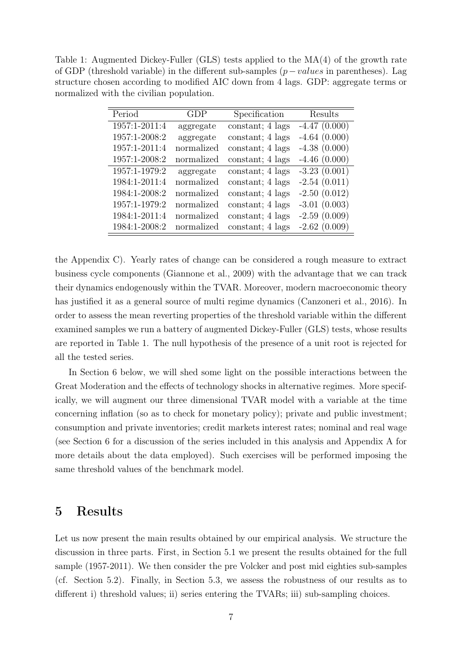Table 1: Augmented Dickey-Fuller (GLS) tests applied to the MA(4) of the growth rate of GDP (threshold variable) in the different sub-samples  $(p-values$  in parentheses). Lag structure chosen according to modified AIC down from 4 lags. GDP: aggregate terms or normalized with the civilian population.

| Period        | GDP        | Specification    | Results        |
|---------------|------------|------------------|----------------|
| 1957:1-2011:4 | aggregate  | constant; 4 lags | $-4.47(0.000)$ |
| 1957:1-2008:2 | aggregate  | constant; 4 lags | $-4.64(0.000)$ |
| 1957:1-2011:4 | normalized | constant; 4 lags | $-4.38(0.000)$ |
| 1957:1-2008:2 | normalized | constant; 4 lags | $-4.46(0.000)$ |
| 1957:1-1979:2 | aggregate  | constant; 4 lags | $-3.23(0.001)$ |
| 1984:1-2011:4 | normalized | constant; 4 lags | $-2.54(0.011)$ |
| 1984:1-2008:2 | normalized | constant; 4 lags | $-2.50(0.012)$ |
| 1957:1-1979:2 | normalized | constant; 4 lags | $-3.01(0.003)$ |
| 1984:1-2011:4 | normalized | constant; 4 lags | $-2.59(0.009)$ |
| 1984:1-2008:2 | normalized | constant; 4 lags | $-2.62(0.009)$ |

the Appendix C). Yearly rates of change can be considered a rough measure to extract business cycle components (Giannone et al., 2009) with the advantage that we can track their dynamics endogenously within the TVAR. Moreover, modern macroeconomic theory has justified it as a general source of multi regime dynamics (Canzoneri et al., 2016). In order to assess the mean reverting properties of the threshold variable within the different examined samples we run a battery of augmented Dickey-Fuller (GLS) tests, whose results are reported in Table 1. The null hypothesis of the presence of a unit root is rejected for all the tested series.

In Section 6 below, we will shed some light on the possible interactions between the Great Moderation and the effects of technology shocks in alternative regimes. More specifically, we will augment our three dimensional TVAR model with a variable at the time concerning inflation (so as to check for monetary policy); private and public investment; consumption and private inventories; credit markets interest rates; nominal and real wage (see Section 6 for a discussion of the series included in this analysis and Appendix A for more details about the data employed). Such exercises will be performed imposing the same threshold values of the benchmark model.

## 5 Results

Let us now present the main results obtained by our empirical analysis. We structure the discussion in three parts. First, in Section 5.1 we present the results obtained for the full sample (1957-2011). We then consider the pre Volcker and post mid eighties sub-samples (cf. Section 5.2). Finally, in Section 5.3, we assess the robustness of our results as to different i) threshold values; ii) series entering the TVARs; iii) sub-sampling choices.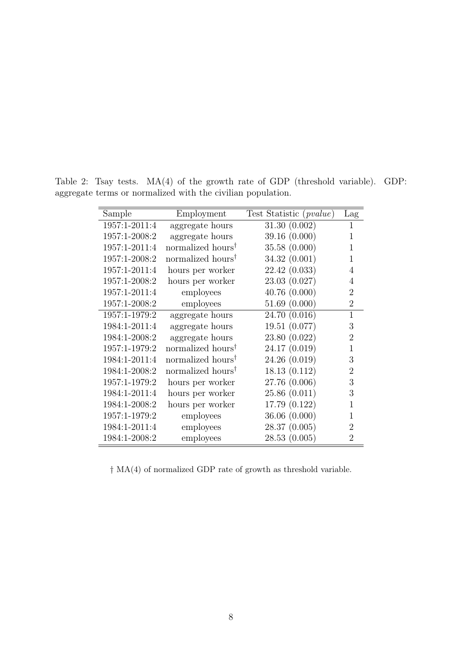| Sample        | Employment                    | Test Statistic ( <i>pvalue</i> ) | Lag            |
|---------------|-------------------------------|----------------------------------|----------------|
| 1957:1-2011:4 | aggregate hours               | 31.30(0.002)                     | 1              |
| 1957:1-2008:2 | aggregate hours               | 39.16(0.000)                     | 1              |
| 1957:1-2011:4 | normalized hours <sup>†</sup> | 35.58(0.000)                     | 1              |
| 1957:1-2008:2 | normalized hours <sup>†</sup> | 34.32 (0.001)                    | 1              |
| 1957:1-2011:4 | hours per worker              | 22.42(0.033)                     | 4              |
| 1957:1-2008:2 | hours per worker              | 23.03 (0.027)                    | 4              |
| 1957:1-2011:4 | employees                     | 40.76(0.000)                     | $\overline{2}$ |
| 1957:1-2008:2 | employees                     | 51.69(0.000)                     | $\overline{2}$ |
| 1957:1-1979:2 | aggregate hours               | 24.70 (0.016)                    | $\mathbf{1}$   |
| 1984:1-2011:4 | aggregate hours               | 19.51 (0.077)                    | 3              |
| 1984:1-2008:2 | aggregate hours               | 23.80 (0.022)                    | $\overline{2}$ |
| 1957:1-1979:2 | normalized hours <sup>†</sup> | 24.17 (0.019)                    | 1              |
| 1984:1-2011:4 | normalized hours <sup>†</sup> | 24.26 (0.019)                    | 3              |
| 1984:1-2008:2 | normalized hours <sup>†</sup> | 18.13(0.112)                     | $\overline{2}$ |
| 1957:1-1979:2 | hours per worker              | 27.76 (0.006)                    | 3              |
| 1984:1-2011:4 | hours per worker              | 25.86(0.011)                     | 3              |
| 1984:1-2008:2 | hours per worker              | 17.79 (0.122)                    | 1              |
| 1957:1-1979:2 | employees                     | 36.06(0.000)                     |                |
| 1984:1-2011:4 | employees                     | 28.37(0.005)                     | $\overline{2}$ |
| 1984:1-2008:2 | employees                     | 28.53(0.005)                     | $\mathfrak{D}$ |

Table 2: Tsay tests. MA(4) of the growth rate of GDP (threshold variable). GDP: aggregate terms or normalized with the civilian population.

† MA(4) of normalized GDP rate of growth as threshold variable.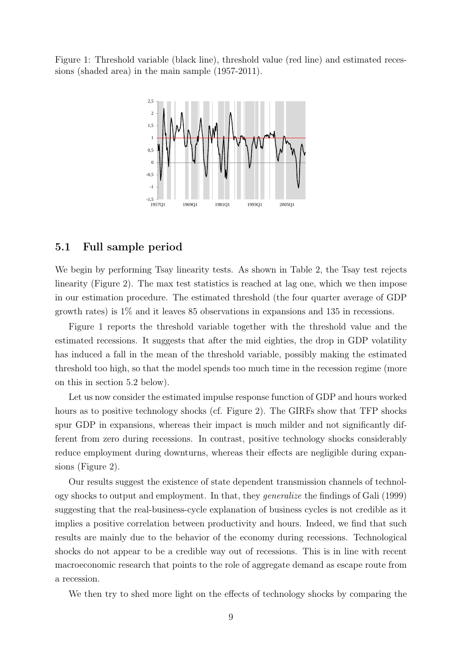Figure 1: Threshold variable (black line), threshold value (red line) and estimated recessions (shaded area) in the main sample (1957-2011).



#### 5.1 Full sample period

We begin by performing Tsay linearity tests. As shown in Table 2, the Tsay test rejects linearity (Figure 2). The max test statistics is reached at lag one, which we then impose in our estimation procedure. The estimated threshold (the four quarter average of GDP growth rates) is 1% and it leaves 85 observations in expansions and 135 in recessions.

Figure 1 reports the threshold variable together with the threshold value and the estimated recessions. It suggests that after the mid eighties, the drop in GDP volatility has induced a fall in the mean of the threshold variable, possibly making the estimated threshold too high, so that the model spends too much time in the recession regime (more on this in section 5.2 below).

Let us now consider the estimated impulse response function of GDP and hours worked hours as to positive technology shocks (cf. Figure 2). The GIRFs show that TFP shocks spur GDP in expansions, whereas their impact is much milder and not significantly different from zero during recessions. In contrast, positive technology shocks considerably reduce employment during downturns, whereas their effects are negligible during expansions (Figure 2).

Our results suggest the existence of state dependent transmission channels of technology shocks to output and employment. In that, they generalize the findings of Gali (1999) suggesting that the real-business-cycle explanation of business cycles is not credible as it implies a positive correlation between productivity and hours. Indeed, we find that such results are mainly due to the behavior of the economy during recessions. Technological shocks do not appear to be a credible way out of recessions. This is in line with recent macroeconomic research that points to the role of aggregate demand as escape route from a recession.

We then try to shed more light on the effects of technology shocks by comparing the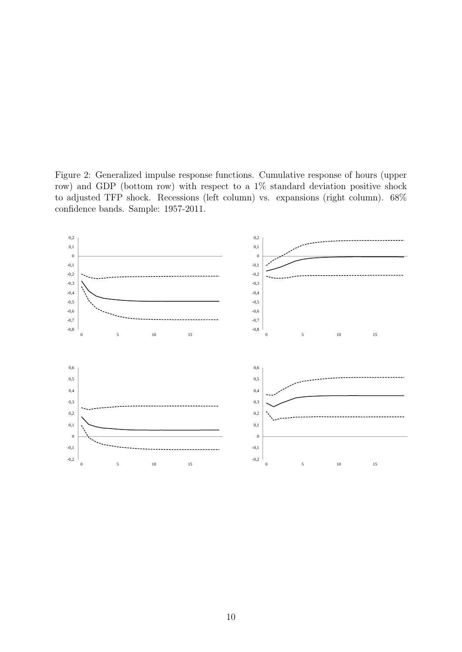Figure 2: Generalized impulse response functions. Cumulative response of hours (upper row) and GDP (bottom row) with respect to a 1% standard deviation positive shock to adjusted TFP shock. Recessions (left column) vs. expansions (right column). 68% confidence bands. Sample: 1957-2011.

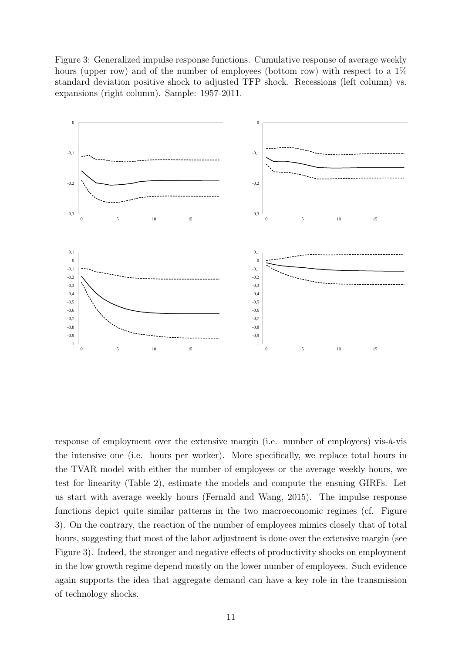Figure 3: Generalized impulse response functions. Cumulative response of average weekly hours (upper row) and of the number of employees (bottom row) with respect to a  $1\%$ standard deviation positive shock to adjusted TFP shock. Recessions (left column) vs. expansions (right column). Sample: 1957-2011.



response of employment over the extensive margin (i.e. number of employees) vis-à-vis the intensive one (i.e. hours per worker). More specifically, we replace total hours in the TVAR model with either the number of employees or the average weekly hours, we test for linearity (Table 2), estimate the models and compute the ensuing GIRFs. Let us start with average weekly hours (Fernald and Wang, 2015). The impulse response functions depict quite similar patterns in the two macroeconomic regimes (cf. Figure 3). On the contrary, the reaction of the number of employees mimics closely that of total hours, suggesting that most of the labor adjustment is done over the extensive margin (see Figure 3). Indeed, the stronger and negative effects of productivity shocks on employment in the low growth regime depend mostly on the lower number of employees. Such evidence again supports the idea that aggregate demand can have a key role in the transmission of technology shocks.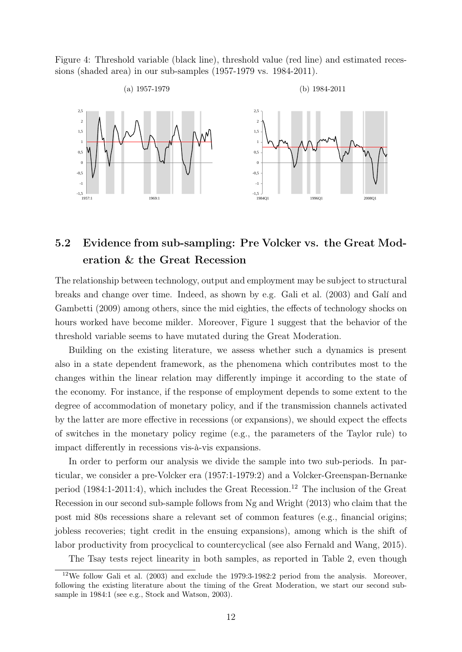Figure 4: Threshold variable (black line), threshold value (red line) and estimated recessions (shaded area) in our sub-samples (1957-1979 vs. 1984-2011).



## 5.2 Evidence from sub-sampling: Pre Volcker vs. the Great Moderation & the Great Recession

The relationship between technology, output and employment may be subject to structural breaks and change over time. Indeed, as shown by e.g. Gali et al. (2003) and Galí and Gambetti (2009) among others, since the mid eighties, the effects of technology shocks on hours worked have become milder. Moreover, Figure 1 suggest that the behavior of the threshold variable seems to have mutated during the Great Moderation.

Building on the existing literature, we assess whether such a dynamics is present also in a state dependent framework, as the phenomena which contributes most to the changes within the linear relation may differently impinge it according to the state of the economy. For instance, if the response of employment depends to some extent to the degree of accommodation of monetary policy, and if the transmission channels activated by the latter are more effective in recessions (or expansions), we should expect the effects of switches in the monetary policy regime (e.g., the parameters of the Taylor rule) to impact differently in recessions vis-à-vis expansions.

In order to perform our analysis we divide the sample into two sub-periods. In particular, we consider a pre-Volcker era (1957:1-1979:2) and a Volcker-Greenspan-Bernanke period  $(1984:1-2011:4)$ , which includes the Great Recession.<sup>12</sup> The inclusion of the Great Recession in our second sub-sample follows from Ng and Wright (2013) who claim that the post mid 80s recessions share a relevant set of common features (e.g., financial origins; jobless recoveries; tight credit in the ensuing expansions), among which is the shift of labor productivity from procyclical to countercyclical (see also Fernald and Wang, 2015).

The Tsay tests reject linearity in both samples, as reported in Table 2, even though

<sup>12</sup>We follow Gali et al. (2003) and exclude the 1979:3-1982:2 period from the analysis. Moreover, following the existing literature about the timing of the Great Moderation, we start our second subsample in 1984:1 (see e.g., Stock and Watson, 2003).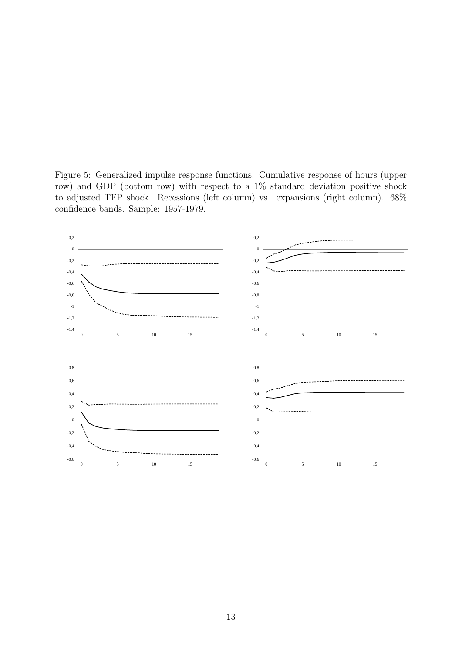Figure 5: Generalized impulse response functions. Cumulative response of hours (upper row) and GDP (bottom row) with respect to a 1% standard deviation positive shock to adjusted TFP shock. Recessions (left column) vs. expansions (right column). 68% confidence bands. Sample: 1957-1979.

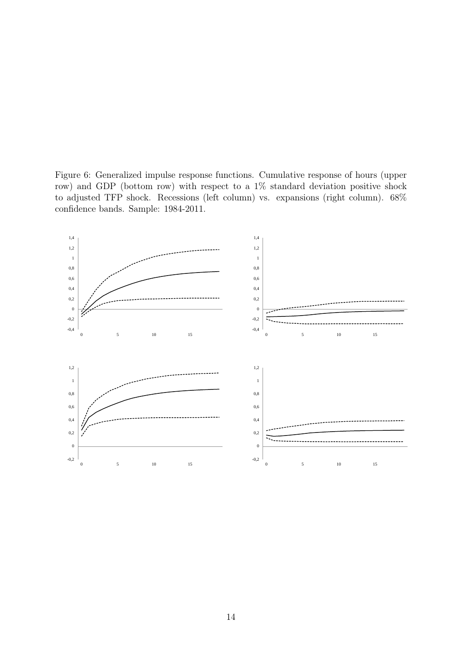Figure 6: Generalized impulse response functions. Cumulative response of hours (upper row) and GDP (bottom row) with respect to a 1% standard deviation positive shock to adjusted TFP shock. Recessions (left column) vs. expansions (right column). 68% confidence bands. Sample: 1984-2011.

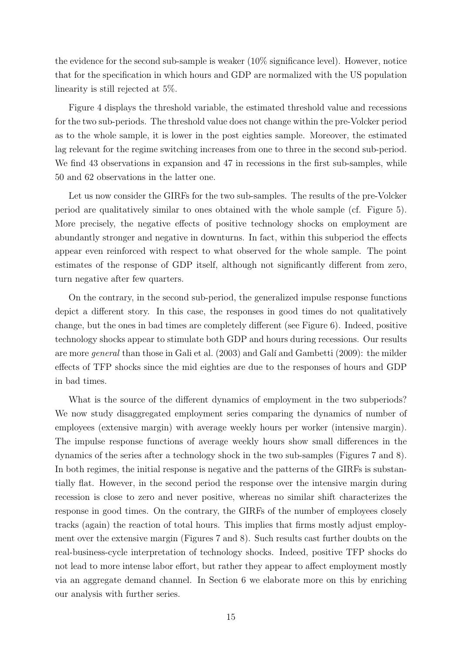the evidence for the second sub-sample is weaker (10% significance level). However, notice that for the specification in which hours and GDP are normalized with the US population linearity is still rejected at 5%.

Figure 4 displays the threshold variable, the estimated threshold value and recessions for the two sub-periods. The threshold value does not change within the pre-Volcker period as to the whole sample, it is lower in the post eighties sample. Moreover, the estimated lag relevant for the regime switching increases from one to three in the second sub-period. We find 43 observations in expansion and 47 in recessions in the first sub-samples, while 50 and 62 observations in the latter one.

Let us now consider the GIRFs for the two sub-samples. The results of the pre-Volcker period are qualitatively similar to ones obtained with the whole sample (cf. Figure 5). More precisely, the negative effects of positive technology shocks on employment are abundantly stronger and negative in downturns. In fact, within this subperiod the effects appear even reinforced with respect to what observed for the whole sample. The point estimates of the response of GDP itself, although not significantly different from zero, turn negative after few quarters.

On the contrary, in the second sub-period, the generalized impulse response functions depict a different story. In this case, the responses in good times do not qualitatively change, but the ones in bad times are completely different (see Figure 6). Indeed, positive technology shocks appear to stimulate both GDP and hours during recessions. Our results are more general than those in Gali et al. (2003) and Galí and Gambetti (2009): the milder effects of TFP shocks since the mid eighties are due to the responses of hours and GDP in bad times.

What is the source of the different dynamics of employment in the two subperiods? We now study disaggregated employment series comparing the dynamics of number of employees (extensive margin) with average weekly hours per worker (intensive margin). The impulse response functions of average weekly hours show small differences in the dynamics of the series after a technology shock in the two sub-samples (Figures 7 and 8). In both regimes, the initial response is negative and the patterns of the GIRFs is substantially flat. However, in the second period the response over the intensive margin during recession is close to zero and never positive, whereas no similar shift characterizes the response in good times. On the contrary, the GIRFs of the number of employees closely tracks (again) the reaction of total hours. This implies that firms mostly adjust employment over the extensive margin (Figures 7 and 8). Such results cast further doubts on the real-business-cycle interpretation of technology shocks. Indeed, positive TFP shocks do not lead to more intense labor effort, but rather they appear to affect employment mostly via an aggregate demand channel. In Section 6 we elaborate more on this by enriching our analysis with further series.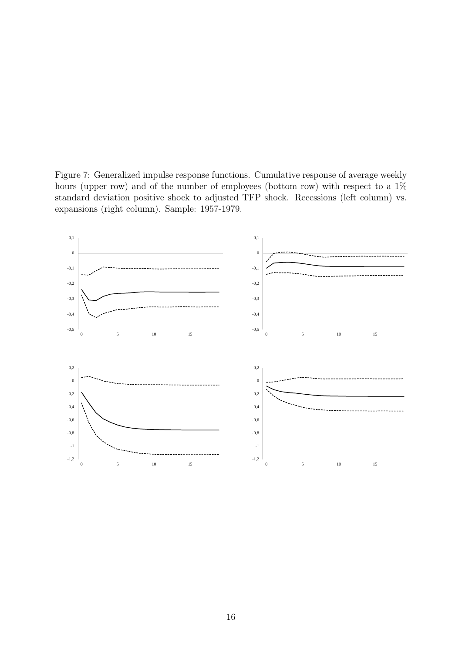Figure 7: Generalized impulse response functions. Cumulative response of average weekly hours (upper row) and of the number of employees (bottom row) with respect to a  $1\%$ standard deviation positive shock to adjusted TFP shock. Recessions (left column) vs. expansions (right column). Sample: 1957-1979.

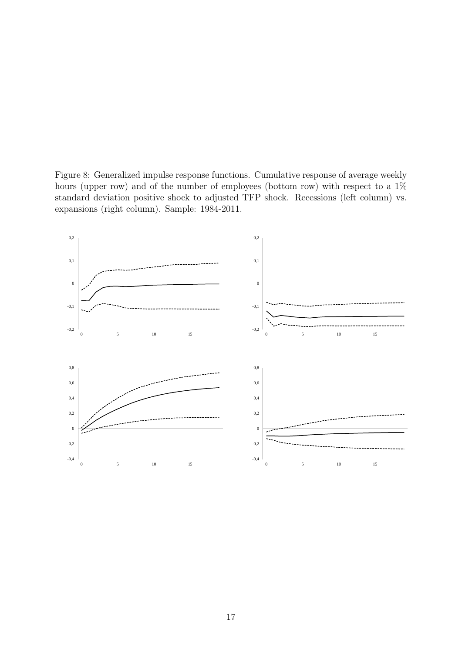Figure 8: Generalized impulse response functions. Cumulative response of average weekly hours (upper row) and of the number of employees (bottom row) with respect to a  $1\%$ standard deviation positive shock to adjusted TFP shock. Recessions (left column) vs. expansions (right column). Sample: 1984-2011.

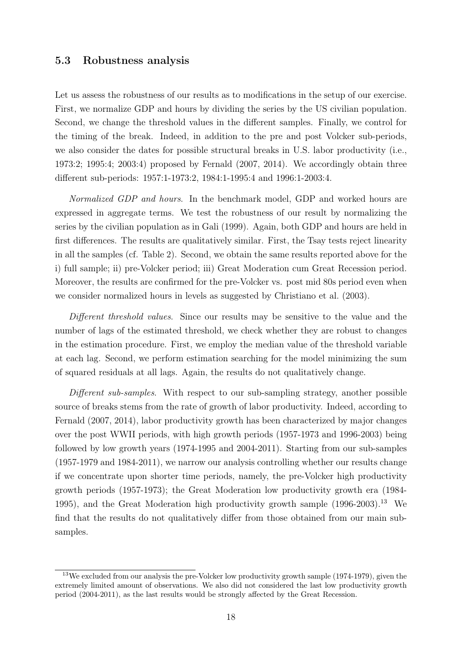#### 5.3 Robustness analysis

Let us assess the robustness of our results as to modifications in the setup of our exercise. First, we normalize GDP and hours by dividing the series by the US civilian population. Second, we change the threshold values in the different samples. Finally, we control for the timing of the break. Indeed, in addition to the pre and post Volcker sub-periods, we also consider the dates for possible structural breaks in U.S. labor productivity (i.e., 1973:2; 1995:4; 2003:4) proposed by Fernald (2007, 2014). We accordingly obtain three different sub-periods: 1957:1-1973:2, 1984:1-1995:4 and 1996:1-2003:4.

Normalized GDP and hours. In the benchmark model, GDP and worked hours are expressed in aggregate terms. We test the robustness of our result by normalizing the series by the civilian population as in Gali (1999). Again, both GDP and hours are held in first differences. The results are qualitatively similar. First, the Tsay tests reject linearity in all the samples (cf. Table 2). Second, we obtain the same results reported above for the i) full sample; ii) pre-Volcker period; iii) Great Moderation cum Great Recession period. Moreover, the results are confirmed for the pre-Volcker vs. post mid 80s period even when we consider normalized hours in levels as suggested by Christiano et al. (2003).

Different threshold values. Since our results may be sensitive to the value and the number of lags of the estimated threshold, we check whether they are robust to changes in the estimation procedure. First, we employ the median value of the threshold variable at each lag. Second, we perform estimation searching for the model minimizing the sum of squared residuals at all lags. Again, the results do not qualitatively change.

Different sub-samples. With respect to our sub-sampling strategy, another possible source of breaks stems from the rate of growth of labor productivity. Indeed, according to Fernald (2007, 2014), labor productivity growth has been characterized by major changes over the post WWII periods, with high growth periods (1957-1973 and 1996-2003) being followed by low growth years (1974-1995 and 2004-2011). Starting from our sub-samples (1957-1979 and 1984-2011), we narrow our analysis controlling whether our results change if we concentrate upon shorter time periods, namely, the pre-Volcker high productivity growth periods (1957-1973); the Great Moderation low productivity growth era (1984- 1995), and the Great Moderation high productivity growth sample  $(1996-2003).$ <sup>13</sup> We find that the results do not qualitatively differ from those obtained from our main subsamples.

<sup>&</sup>lt;sup>13</sup>We excluded from our analysis the pre-Volcker low productivity growth sample (1974-1979), given the extremely limited amount of observations. We also did not considered the last low productivity growth period (2004-2011), as the last results would be strongly affected by the Great Recession.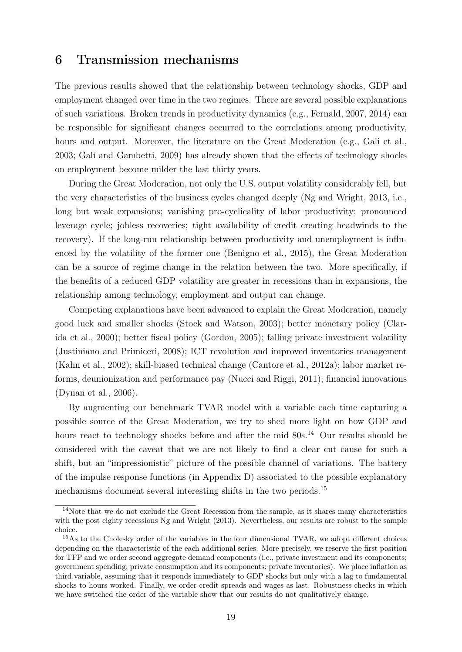#### 6 Transmission mechanisms

The previous results showed that the relationship between technology shocks, GDP and employment changed over time in the two regimes. There are several possible explanations of such variations. Broken trends in productivity dynamics (e.g., Fernald, 2007, 2014) can be responsible for significant changes occurred to the correlations among productivity, hours and output. Moreover, the literature on the Great Moderation (e.g., Gali et al., 2003; Galí and Gambetti, 2009) has already shown that the effects of technology shocks on employment become milder the last thirty years.

During the Great Moderation, not only the U.S. output volatility considerably fell, but the very characteristics of the business cycles changed deeply (Ng and Wright, 2013, i.e., long but weak expansions; vanishing pro-cyclicality of labor productivity; pronounced leverage cycle; jobless recoveries; tight availability of credit creating headwinds to the recovery). If the long-run relationship between productivity and unemployment is influenced by the volatility of the former one (Benigno et al., 2015), the Great Moderation can be a source of regime change in the relation between the two. More specifically, if the benefits of a reduced GDP volatility are greater in recessions than in expansions, the relationship among technology, employment and output can change.

Competing explanations have been advanced to explain the Great Moderation, namely good luck and smaller shocks (Stock and Watson, 2003); better monetary policy (Clarida et al., 2000); better fiscal policy (Gordon, 2005); falling private investment volatility (Justiniano and Primiceri, 2008); ICT revolution and improved inventories management (Kahn et al., 2002); skill-biased technical change (Cantore et al., 2012a); labor market reforms, deunionization and performance pay (Nucci and Riggi, 2011); financial innovations (Dynan et al., 2006).

By augmenting our benchmark TVAR model with a variable each time capturing a possible source of the Great Moderation, we try to shed more light on how GDP and hours react to technology shocks before and after the mid  $80s<sup>14</sup>$  Our results should be considered with the caveat that we are not likely to find a clear cut cause for such a shift, but an "impressionistic" picture of the possible channel of variations. The battery of the impulse response functions (in Appendix D) associated to the possible explanatory mechanisms document several interesting shifts in the two periods.<sup>15</sup>

<sup>&</sup>lt;sup>14</sup>Note that we do not exclude the Great Recession from the sample, as it shares many characteristics with the post eighty recessions Ng and Wright (2013). Nevertheless, our results are robust to the sample choice.

<sup>&</sup>lt;sup>15</sup>As to the Cholesky order of the variables in the four dimensional TVAR, we adopt different choices depending on the characteristic of the each additional series. More precisely, we reserve the first position for TFP and we order second aggregate demand components (i.e., private investment and its components; government spending; private consumption and its components; private inventories). We place inflation as third variable, assuming that it responds immediately to GDP shocks but only with a lag to fundamental shocks to hours worked. Finally, we order credit spreads and wages as last. Robustness checks in which we have switched the order of the variable show that our results do not qualitatively change.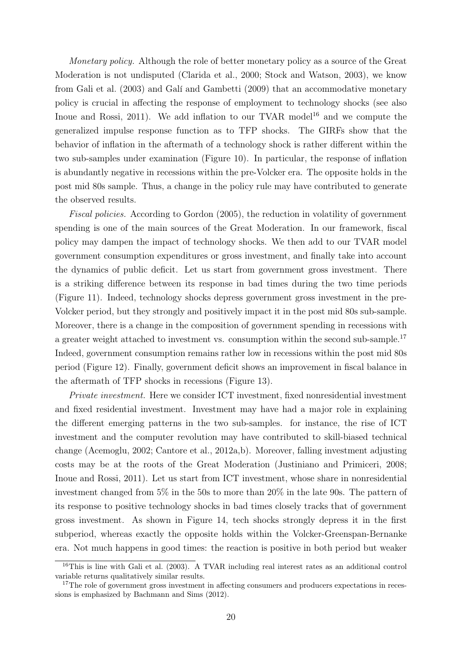Monetary policy. Although the role of better monetary policy as a source of the Great Moderation is not undisputed (Clarida et al., 2000; Stock and Watson, 2003), we know from Gali et al. (2003) and Galí and Gambetti (2009) that an accommodative monetary policy is crucial in affecting the response of employment to technology shocks (see also Inoue and Rossi, 2011). We add inflation to our TVAR model<sup>16</sup> and we compute the generalized impulse response function as to TFP shocks. The GIRFs show that the behavior of inflation in the aftermath of a technology shock is rather different within the two sub-samples under examination (Figure 10). In particular, the response of inflation is abundantly negative in recessions within the pre-Volcker era. The opposite holds in the post mid 80s sample. Thus, a change in the policy rule may have contributed to generate the observed results.

Fiscal policies. According to Gordon (2005), the reduction in volatility of government spending is one of the main sources of the Great Moderation. In our framework, fiscal policy may dampen the impact of technology shocks. We then add to our TVAR model government consumption expenditures or gross investment, and finally take into account the dynamics of public deficit. Let us start from government gross investment. There is a striking difference between its response in bad times during the two time periods (Figure 11). Indeed, technology shocks depress government gross investment in the pre-Volcker period, but they strongly and positively impact it in the post mid 80s sub-sample. Moreover, there is a change in the composition of government spending in recessions with a greater weight attached to investment vs. consumption within the second sub-sample.<sup>17</sup> Indeed, government consumption remains rather low in recessions within the post mid 80s period (Figure 12). Finally, government deficit shows an improvement in fiscal balance in the aftermath of TFP shocks in recessions (Figure 13).

Private investment. Here we consider ICT investment, fixed nonresidential investment and fixed residential investment. Investment may have had a major role in explaining the different emerging patterns in the two sub-samples. for instance, the rise of ICT investment and the computer revolution may have contributed to skill-biased technical change (Acemoglu, 2002; Cantore et al., 2012a,b). Moreover, falling investment adjusting costs may be at the roots of the Great Moderation (Justiniano and Primiceri, 2008; Inoue and Rossi, 2011). Let us start from ICT investment, whose share in nonresidential investment changed from 5% in the 50s to more than 20% in the late 90s. The pattern of its response to positive technology shocks in bad times closely tracks that of government gross investment. As shown in Figure 14, tech shocks strongly depress it in the first subperiod, whereas exactly the opposite holds within the Volcker-Greenspan-Bernanke era. Not much happens in good times: the reaction is positive in both period but weaker

<sup>16</sup>This is line with Gali et al. (2003). A TVAR including real interest rates as an additional control variable returns qualitatively similar results.

<sup>&</sup>lt;sup>17</sup>The role of government gross investment in affecting consumers and producers expectations in recessions is emphasized by Bachmann and Sims (2012).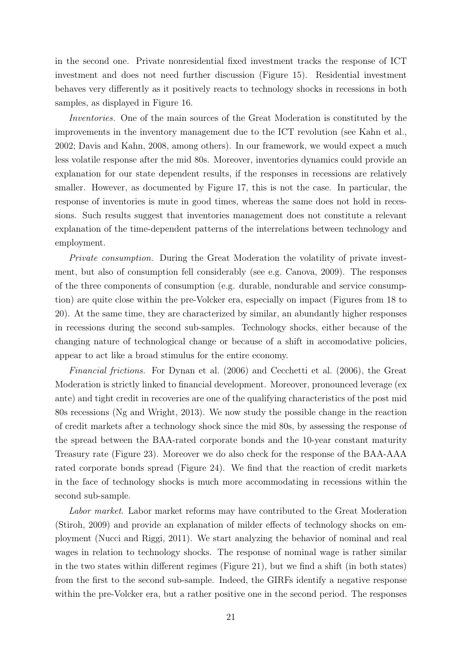in the second one. Private nonresidential fixed investment tracks the response of ICT investment and does not need further discussion (Figure 15). Residential investment behaves very differently as it positively reacts to technology shocks in recessions in both samples, as displayed in Figure 16.

Inventories. One of the main sources of the Great Moderation is constituted by the improvements in the inventory management due to the ICT revolution (see Kahn et al., 2002; Davis and Kahn, 2008, among others). In our framework, we would expect a much less volatile response after the mid 80s. Moreover, inventories dynamics could provide an explanation for our state dependent results, if the responses in recessions are relatively smaller. However, as documented by Figure 17, this is not the case. In particular, the response of inventories is mute in good times, whereas the same does not hold in recessions. Such results suggest that inventories management does not constitute a relevant explanation of the time-dependent patterns of the interrelations between technology and employment.

Private consumption. During the Great Moderation the volatility of private investment, but also of consumption fell considerably (see e.g. Canova, 2009). The responses of the three components of consumption (e.g. durable, nondurable and service consumption) are quite close within the pre-Volcker era, especially on impact (Figures from 18 to 20). At the same time, they are characterized by similar, an abundantly higher responses in recessions during the second sub-samples. Technology shocks, either because of the changing nature of technological change or because of a shift in accomodative policies, appear to act like a broad stimulus for the entire economy.

Financial frictions. For Dynan et al. (2006) and Cecchetti et al. (2006), the Great Moderation is strictly linked to financial development. Moreover, pronounced leverage (ex ante) and tight credit in recoveries are one of the qualifying characteristics of the post mid 80s recessions (Ng and Wright, 2013). We now study the possible change in the reaction of credit markets after a technology shock since the mid 80s, by assessing the response of the spread between the BAA-rated corporate bonds and the 10-year constant maturity Treasury rate (Figure 23). Moreover we do also check for the response of the BAA-AAA rated corporate bonds spread (Figure 24). We find that the reaction of credit markets in the face of technology shocks is much more accommodating in recessions within the second sub-sample.

Labor market. Labor market reforms may have contributed to the Great Moderation (Stiroh, 2009) and provide an explanation of milder effects of technology shocks on employment (Nucci and Riggi, 2011). We start analyzing the behavior of nominal and real wages in relation to technology shocks. The response of nominal wage is rather similar in the two states within different regimes (Figure 21), but we find a shift (in both states) from the first to the second sub-sample. Indeed, the GIRFs identify a negative response within the pre-Volcker era, but a rather positive one in the second period. The responses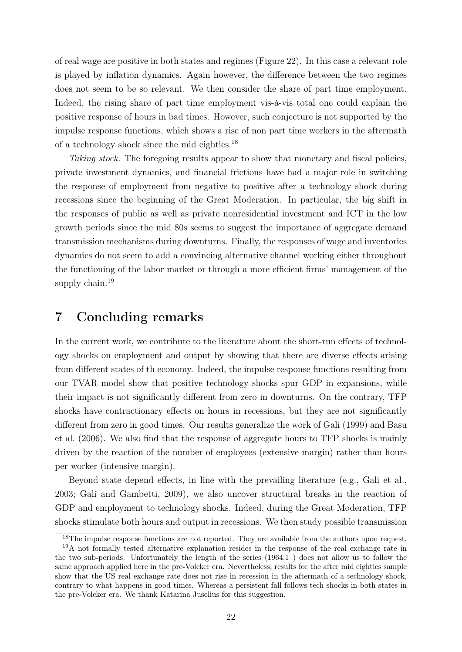of real wage are positive in both states and regimes (Figure 22). In this case a relevant role is played by inflation dynamics. Again however, the difference between the two regimes does not seem to be so relevant. We then consider the share of part time employment. Indeed, the rising share of part time employment vis-à-vis total one could explain the positive response of hours in bad times. However, such conjecture is not supported by the impulse response functions, which shows a rise of non part time workers in the aftermath of a technology shock since the mid eighties.<sup>18</sup>

Taking stock. The foregoing results appear to show that monetary and fiscal policies, private investment dynamics, and financial frictions have had a major role in switching the response of employment from negative to positive after a technology shock during recessions since the beginning of the Great Moderation. In particular, the big shift in the responses of public as well as private nonresidential investment and ICT in the low growth periods since the mid 80s seems to suggest the importance of aggregate demand transmission mechanisms during downturns. Finally, the responses of wage and inventories dynamics do not seem to add a convincing alternative channel working either throughout the functioning of the labor market or through a more efficient firms' management of the supply chain.<sup>19</sup>

## 7 Concluding remarks

In the current work, we contribute to the literature about the short-run effects of technology shocks on employment and output by showing that there are diverse effects arising from different states of th economy. Indeed, the impulse response functions resulting from our TVAR model show that positive technology shocks spur GDP in expansions, while their impact is not significantly different from zero in downturns. On the contrary, TFP shocks have contractionary effects on hours in recessions, but they are not significantly different from zero in good times. Our results generalize the work of Gali (1999) and Basu et al. (2006). We also find that the response of aggregate hours to TFP shocks is mainly driven by the reaction of the number of employees (extensive margin) rather than hours per worker (intensive margin).

Beyond state depend effects, in line with the prevailing literature (e.g., Gali et al., 2003; Galí and Gambetti, 2009), we also uncover structural breaks in the reaction of GDP and employment to technology shocks. Indeed, during the Great Moderation, TFP shocks stimulate both hours and output in recessions. We then study possible transmission

the pre-Volcker era. We thank Katarina Juselius for this suggestion.

 $18$ The impulse response functions are not reported. They are available from the authors upon request. <sup>19</sup>A not formally tested alternative explanation resides in the response of the real exchange rate in the two sub-periods. Unfortunately the length of the series (1964:1–) does not allow us to follow the same approach applied here in the pre-Volcker era. Nevertheless, results for the after mid eighties sample show that the US real exchange rate does not rise in recession in the aftermath of a technology shock, contrary to what happens in good times. Whereas a persistent fall follows tech shocks in both states in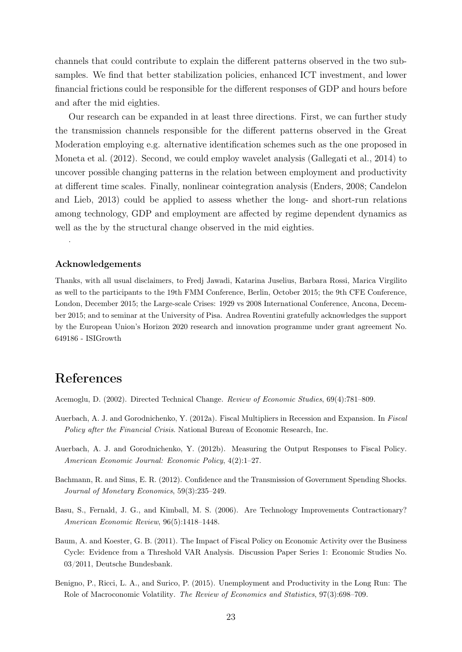channels that could contribute to explain the different patterns observed in the two subsamples. We find that better stabilization policies, enhanced ICT investment, and lower financial frictions could be responsible for the different responses of GDP and hours before and after the mid eighties.

Our research can be expanded in at least three directions. First, we can further study the transmission channels responsible for the different patterns observed in the Great Moderation employing e.g. alternative identification schemes such as the one proposed in Moneta et al. (2012). Second, we could employ wavelet analysis (Gallegati et al., 2014) to uncover possible changing patterns in the relation between employment and productivity at different time scales. Finally, nonlinear cointegration analysis (Enders, 2008; Candelon and Lieb, 2013) could be applied to assess whether the long- and short-run relations among technology, GDP and employment are affected by regime dependent dynamics as well as the by the structural change observed in the mid eighties.

#### Acknowledgements

.

Thanks, with all usual disclaimers, to Fredj Jawadi, Katarina Juselius, Barbara Rossi, Marica Virgilito as well to the participants to the 19th FMM Conference, Berlin, October 2015; the 9th CFE Conference, London, December 2015; the Large-scale Crises: 1929 vs 2008 International Conference, Ancona, December 2015; and to seminar at the University of Pisa. Andrea Roventini gratefully acknowledges the support by the European Union's Horizon 2020 research and innovation programme under grant agreement No. 649186 - ISIGrowth

## References

Acemoglu, D. (2002). Directed Technical Change. Review of Economic Studies, 69(4):781–809.

- Auerbach, A. J. and Gorodnichenko, Y. (2012a). Fiscal Multipliers in Recession and Expansion. In Fiscal Policy after the Financial Crisis. National Bureau of Economic Research, Inc.
- Auerbach, A. J. and Gorodnichenko, Y. (2012b). Measuring the Output Responses to Fiscal Policy. American Economic Journal: Economic Policy, 4(2):1–27.
- Bachmann, R. and Sims, E. R. (2012). Confidence and the Transmission of Government Spending Shocks. Journal of Monetary Economics, 59(3):235–249.
- Basu, S., Fernald, J. G., and Kimball, M. S. (2006). Are Technology Improvements Contractionary? American Economic Review, 96(5):1418–1448.
- Baum, A. and Koester, G. B. (2011). The Impact of Fiscal Policy on Economic Activity over the Business Cycle: Evidence from a Threshold VAR Analysis. Discussion Paper Series 1: Economic Studies No. 03/2011, Deutsche Bundesbank.
- Benigno, P., Ricci, L. A., and Surico, P. (2015). Unemployment and Productivity in the Long Run: The Role of Macroconomic Volatility. The Review of Economics and Statistics, 97(3):698–709.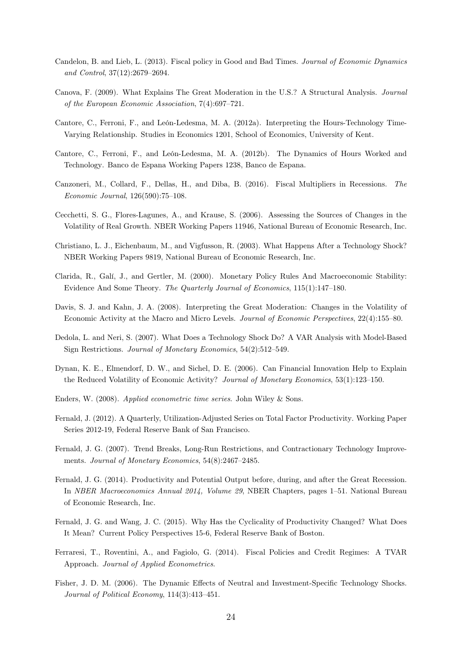- Candelon, B. and Lieb, L. (2013). Fiscal policy in Good and Bad Times. Journal of Economic Dynamics and Control, 37(12):2679–2694.
- Canova, F. (2009). What Explains The Great Moderation in the U.S.? A Structural Analysis. Journal of the European Economic Association, 7(4):697–721.
- Cantore, C., Ferroni, F., and León-Ledesma, M. A. (2012a). Interpreting the Hours-Technology Time-Varying Relationship. Studies in Economics 1201, School of Economics, University of Kent.
- Cantore, C., Ferroni, F., and León-Ledesma, M. A. (2012b). The Dynamics of Hours Worked and Technology. Banco de Espana Working Papers 1238, Banco de Espana.
- Canzoneri, M., Collard, F., Dellas, H., and Diba, B. (2016). Fiscal Multipliers in Recessions. The Economic Journal, 126(590):75–108.
- Cecchetti, S. G., Flores-Lagunes, A., and Krause, S. (2006). Assessing the Sources of Changes in the Volatility of Real Growth. NBER Working Papers 11946, National Bureau of Economic Research, Inc.
- Christiano, L. J., Eichenbaum, M., and Vigfusson, R. (2003). What Happens After a Technology Shock? NBER Working Papers 9819, National Bureau of Economic Research, Inc.
- Clarida, R., Galí, J., and Gertler, M. (2000). Monetary Policy Rules And Macroeconomic Stability: Evidence And Some Theory. The Quarterly Journal of Economics, 115(1):147–180.
- Davis, S. J. and Kahn, J. A. (2008). Interpreting the Great Moderation: Changes in the Volatility of Economic Activity at the Macro and Micro Levels. Journal of Economic Perspectives, 22(4):155–80.
- Dedola, L. and Neri, S. (2007). What Does a Technology Shock Do? A VAR Analysis with Model-Based Sign Restrictions. Journal of Monetary Economics, 54(2):512–549.
- Dynan, K. E., Elmendorf, D. W., and Sichel, D. E. (2006). Can Financial Innovation Help to Explain the Reduced Volatility of Economic Activity? Journal of Monetary Economics, 53(1):123–150.
- Enders, W. (2008). Applied econometric time series. John Wiley & Sons.
- Fernald, J. (2012). A Quarterly, Utilization-Adjusted Series on Total Factor Productivity. Working Paper Series 2012-19, Federal Reserve Bank of San Francisco.
- Fernald, J. G. (2007). Trend Breaks, Long-Run Restrictions, and Contractionary Technology Improvements. Journal of Monetary Economics, 54(8):2467–2485.
- Fernald, J. G. (2014). Productivity and Potential Output before, during, and after the Great Recession. In NBER Macroeconomics Annual 2014, Volume 29, NBER Chapters, pages 1–51. National Bureau of Economic Research, Inc.
- Fernald, J. G. and Wang, J. C. (2015). Why Has the Cyclicality of Productivity Changed? What Does It Mean? Current Policy Perspectives 15-6, Federal Reserve Bank of Boston.
- Ferraresi, T., Roventini, A., and Fagiolo, G. (2014). Fiscal Policies and Credit Regimes: A TVAR Approach. Journal of Applied Econometrics.
- Fisher, J. D. M. (2006). The Dynamic Effects of Neutral and Investment-Specific Technology Shocks. Journal of Political Economy, 114(3):413–451.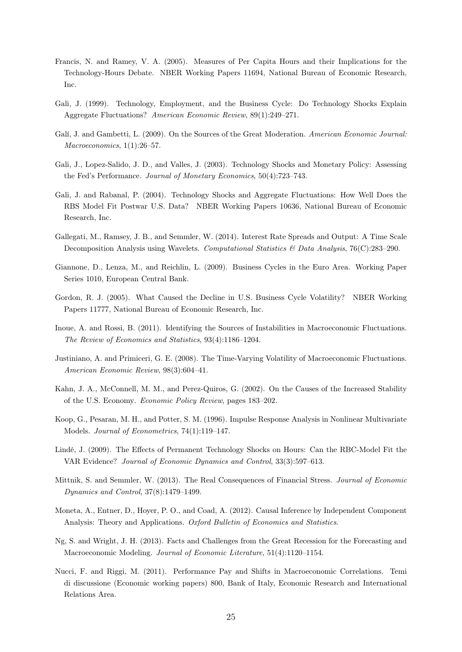- Francis, N. and Ramey, V. A. (2005). Measures of Per Capita Hours and their Implications for the Technology-Hours Debate. NBER Working Papers 11694, National Bureau of Economic Research, Inc.
- Gali, J. (1999). Technology, Employment, and the Business Cycle: Do Technology Shocks Explain Aggregate Fluctuations? American Economic Review, 89(1):249–271.
- Galí, J. and Gambetti, L. (2009). On the Sources of the Great Moderation. American Economic Journal: Macroeconomics, 1(1):26-57.
- Gali, J., Lopez-Salido, J. D., and Valles, J. (2003). Technology Shocks and Monetary Policy: Assessing the Fed's Performance. Journal of Monetary Economics, 50(4):723–743.
- Gali, J. and Rabanal, P. (2004). Technology Shocks and Aggregate Fluctuations: How Well Does the RBS Model Fit Postwar U.S. Data? NBER Working Papers 10636, National Bureau of Economic Research, Inc.
- Gallegati, M., Ramsey, J. B., and Semmler, W. (2014). Interest Rate Spreads and Output: A Time Scale Decomposition Analysis using Wavelets. Computational Statistics & Data Analysis, 76(C):283-290.
- Giannone, D., Lenza, M., and Reichlin, L. (2009). Business Cycles in the Euro Area. Working Paper Series 1010, European Central Bank.
- Gordon, R. J. (2005). What Caused the Decline in U.S. Business Cycle Volatility? NBER Working Papers 11777, National Bureau of Economic Research, Inc.
- Inoue, A. and Rossi, B. (2011). Identifying the Sources of Instabilities in Macroeconomic Fluctuations. The Review of Economics and Statistics, 93(4):1186–1204.
- Justiniano, A. and Primiceri, G. E. (2008). The Time-Varying Volatility of Macroeconomic Fluctuations. American Economic Review, 98(3):604–41.
- Kahn, J. A., McConnell, M. M., and Perez-Quiros, G. (2002). On the Causes of the Increased Stability of the U.S. Economy. Economic Policy Review, pages 183–202.
- Koop, G., Pesaran, M. H., and Potter, S. M. (1996). Impulse Response Analysis in Nonlinear Multivariate Models. Journal of Econometrics, 74(1):119–147.
- Lindé, J. (2009). The Effects of Permanent Technology Shocks on Hours: Can the RBC-Model Fit the VAR Evidence? Journal of Economic Dynamics and Control, 33(3):597–613.
- Mittnik, S. and Semmler, W. (2013). The Real Consequences of Financial Stress. Journal of Economic Dynamics and Control, 37(8):1479–1499.
- Moneta, A., Entner, D., Hoyer, P. O., and Coad, A. (2012). Causal Inference by Independent Component Analysis: Theory and Applications. Oxford Bulletin of Economics and Statistics.
- Ng, S. and Wright, J. H. (2013). Facts and Challenges from the Great Recession for the Forecasting and Macroeconomic Modeling. Journal of Economic Literature, 51(4):1120–1154.
- Nucci, F. and Riggi, M. (2011). Performance Pay and Shifts in Macroeconomic Correlations. Temi di discussione (Economic working papers) 800, Bank of Italy, Economic Research and International Relations Area.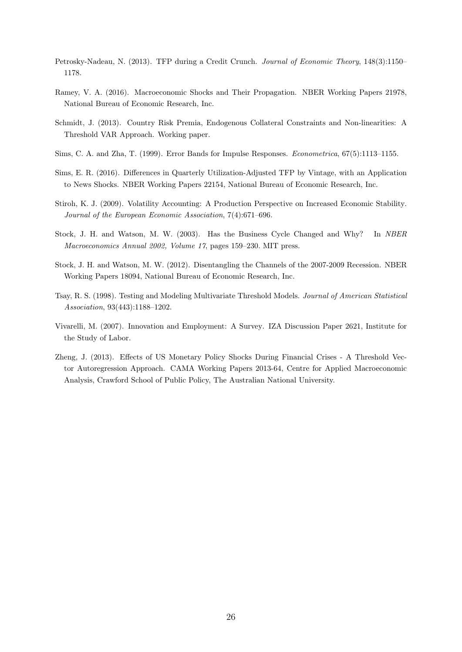- Petrosky-Nadeau, N. (2013). TFP during a Credit Crunch. Journal of Economic Theory, 148(3):1150– 1178.
- Ramey, V. A. (2016). Macroeconomic Shocks and Their Propagation. NBER Working Papers 21978, National Bureau of Economic Research, Inc.
- Schmidt, J. (2013). Country Risk Premia, Endogenous Collateral Constraints and Non-linearities: A Threshold VAR Approach. Working paper.
- Sims, C. A. and Zha, T. (1999). Error Bands for Impulse Responses. Econometrica, 67(5):1113–1155.
- Sims, E. R. (2016). Differences in Quarterly Utilization-Adjusted TFP by Vintage, with an Application to News Shocks. NBER Working Papers 22154, National Bureau of Economic Research, Inc.
- Stiroh, K. J. (2009). Volatility Accounting: A Production Perspective on Increased Economic Stability. Journal of the European Economic Association, 7(4):671–696.
- Stock, J. H. and Watson, M. W. (2003). Has the Business Cycle Changed and Why? In NBER Macroeconomics Annual 2002, Volume 17, pages 159–230. MIT press.
- Stock, J. H. and Watson, M. W. (2012). Disentangling the Channels of the 2007-2009 Recession. NBER Working Papers 18094, National Bureau of Economic Research, Inc.
- Tsay, R. S. (1998). Testing and Modeling Multivariate Threshold Models. Journal of American Statistical Association, 93(443):1188–1202.
- Vivarelli, M. (2007). Innovation and Employment: A Survey. IZA Discussion Paper 2621, Institute for the Study of Labor.
- Zheng, J. (2013). Effects of US Monetary Policy Shocks During Financial Crises A Threshold Vector Autoregression Approach. CAMA Working Papers 2013-64, Centre for Applied Macroeconomic Analysis, Crawford School of Public Policy, The Australian National University.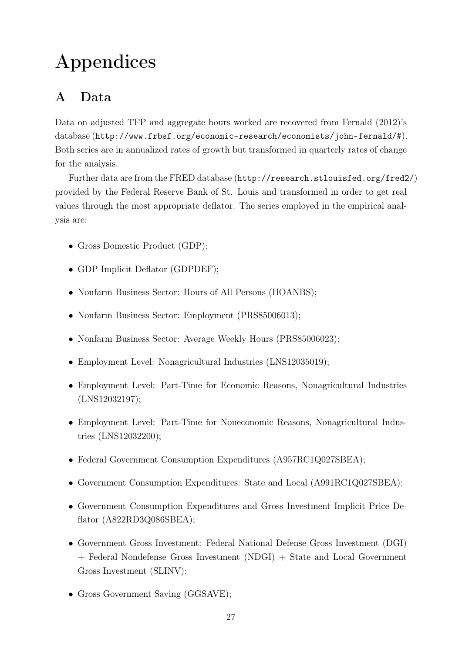## Appendices

## A Data

Data on adjusted TFP and aggregate hours worked are recovered from Fernald (2012)'s database (http://www.frbsf.org/economic-research/economists/john-fernald/#). Both series are in annualized rates of growth but transformed in quarterly rates of change for the analysis.

Further data are from the FRED database (http://research.stlouisfed.org/fred2/) provided by the Federal Reserve Bank of St. Louis and transformed in order to get real values through the most appropriate deflator. The series employed in the empirical analysis are:

- Gross Domestic Product (GDP);
- GDP Implicit Deflator (GDPDEF);
- Nonfarm Business Sector: Hours of All Persons (HOANBS);
- Nonfarm Business Sector: Employment (PRS85006013);
- Nonfarm Business Sector: Average Weekly Hours (PRS85006023);
- Employment Level: Nonagricultural Industries (LNS12035019);
- Employment Level: Part-Time for Economic Reasons, Nonagricultural Industries (LNS12032197);
- Employment Level: Part-Time for Noneconomic Reasons, Nonagricultural Industries (LNS12032200);
- Federal Government Consumption Expenditures (A957RC1Q027SBEA);
- Government Consumption Expenditures: State and Local (A991RC1Q027SBEA);
- Government Consumption Expenditures and Gross Investment Implicit Price Deflator (A822RD3Q086SBEA);
- Government Gross Investment: Federal National Defense Gross Investment (DGI) + Federal Nondefense Gross Investment (NDGI) + State and Local Government Gross Investment (SLINV);
- Gross Government Saving (GGSAVE);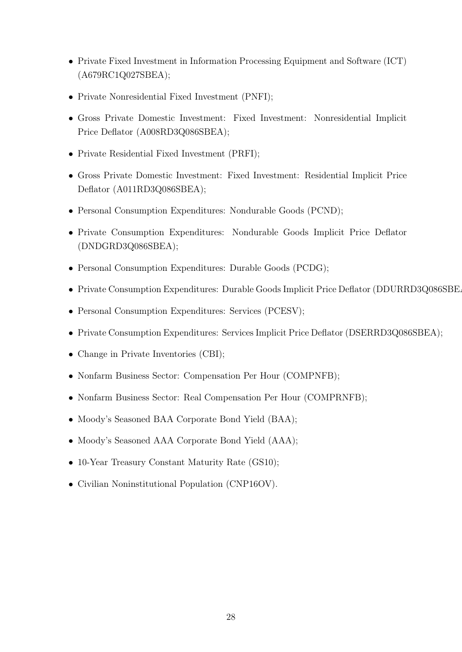- Private Fixed Investment in Information Processing Equipment and Software (ICT) (A679RC1Q027SBEA);
- Private Nonresidential Fixed Investment (PNFI);
- Gross Private Domestic Investment: Fixed Investment: Nonresidential Implicit Price Deflator (A008RD3Q086SBEA);
- Private Residential Fixed Investment (PRFI);
- Gross Private Domestic Investment: Fixed Investment: Residential Implicit Price Deflator (A011RD3Q086SBEA);
- Personal Consumption Expenditures: Nondurable Goods (PCND);
- Private Consumption Expenditures: Nondurable Goods Implicit Price Deflator (DNDGRD3Q086SBEA);
- Personal Consumption Expenditures: Durable Goods (PCDG);
- Private Consumption Expenditures: Durable Goods Implicit Price Deflator (DDURRD3Q086SBE.
- Personal Consumption Expenditures: Services (PCESV);
- Private Consumption Expenditures: Services Implicit Price Deflator (DSERRD3Q086SBEA);
- Change in Private Inventories (CBI);
- Nonfarm Business Sector: Compensation Per Hour (COMPNFB);
- Nonfarm Business Sector: Real Compensation Per Hour (COMPRNFB);
- Moody's Seasoned BAA Corporate Bond Yield (BAA);
- Moody's Seasoned AAA Corporate Bond Yield (AAA);
- 10-Year Treasury Constant Maturity Rate (GS10);
- Civilian Noninstitutional Population (CNP16OV).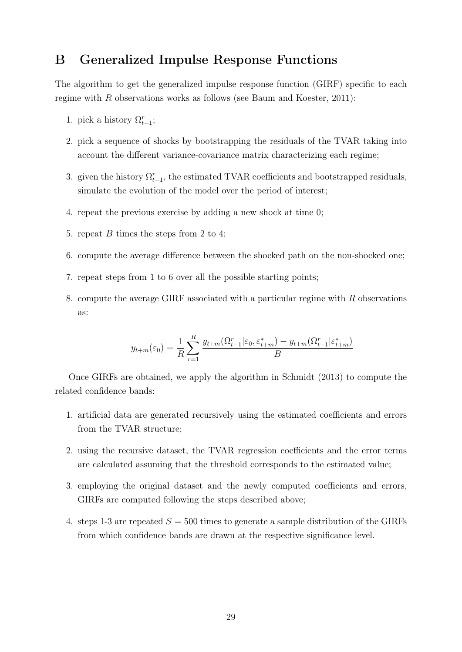## B Generalized Impulse Response Functions

The algorithm to get the generalized impulse response function (GIRF) specific to each regime with R observations works as follows (see Baum and Koester, 2011):

- 1. pick a history  $\Omega_{t-1}^r$ ;
- 2. pick a sequence of shocks by bootstrapping the residuals of the TVAR taking into account the different variance-covariance matrix characterizing each regime;
- 3. given the history  $\Omega_{t-1}^r$ , the estimated TVAR coefficients and bootstrapped residuals, simulate the evolution of the model over the period of interest;
- 4. repeat the previous exercise by adding a new shock at time 0;
- 5. repeat B times the steps from 2 to 4;
- 6. compute the average difference between the shocked path on the non-shocked one;
- 7. repeat steps from 1 to 6 over all the possible starting points;
- 8. compute the average GIRF associated with a particular regime with R observations as:

$$
y_{t+m}(\varepsilon_0) = \frac{1}{R} \sum_{r=1}^{R} \frac{y_{t+m}(\Omega_{t-1}^r | \varepsilon_0, \varepsilon_{t+m}^*) - y_{t+m}(\Omega_{t-1}^r | \varepsilon_{t+m}^*)}{B}
$$

Once GIRFs are obtained, we apply the algorithm in Schmidt (2013) to compute the related confidence bands:

- 1. artificial data are generated recursively using the estimated coefficients and errors from the TVAR structure;
- 2. using the recursive dataset, the TVAR regression coefficients and the error terms are calculated assuming that the threshold corresponds to the estimated value;
- 3. employing the original dataset and the newly computed coefficients and errors, GIRFs are computed following the steps described above;
- 4. steps 1-3 are repeated  $S = 500$  times to generate a sample distribution of the GIRFs from which confidence bands are drawn at the respective significance level.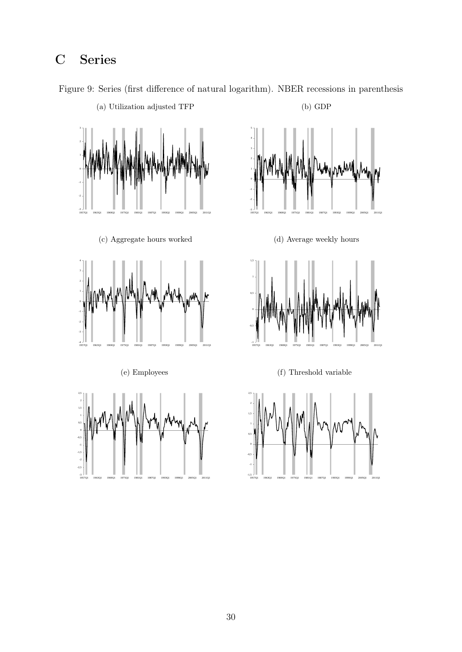## C Series



Figure 9: Series (first difference of natural logarithm). NBER recessions in parenthesis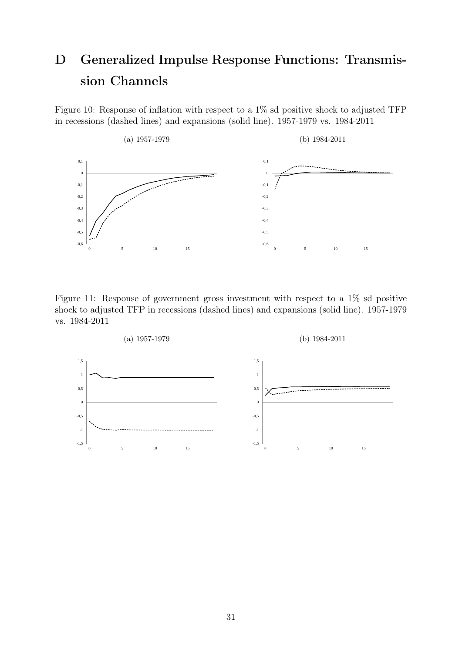## D Generalized Impulse Response Functions: Transmission Channels

Figure 10: Response of inflation with respect to a  $1\%$  sd positive shock to adjusted TFP in recessions (dashed lines) and expansions (solid line). 1957-1979 vs. 1984-2011



Figure 11: Response of government gross investment with respect to a 1% sd positive shock to adjusted TFP in recessions (dashed lines) and expansions (solid line). 1957-1979 vs. 1984-2011

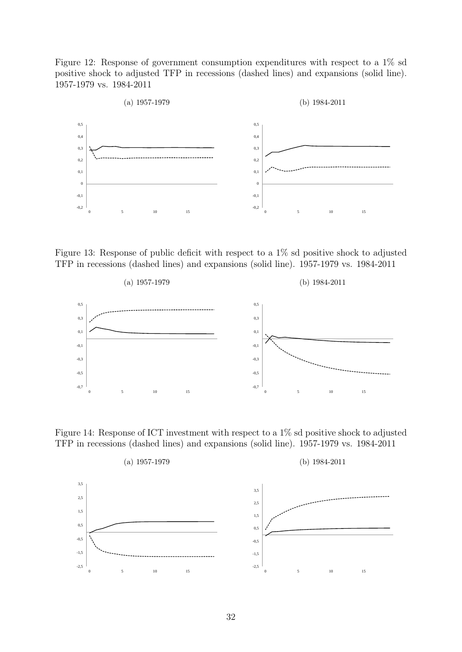Figure 12: Response of government consumption expenditures with respect to a 1% sd positive shock to adjusted TFP in recessions (dashed lines) and expansions (solid line). 1957-1979 vs. 1984-2011



Figure 13: Response of public deficit with respect to a 1% sd positive shock to adjusted TFP in recessions (dashed lines) and expansions (solid line). 1957-1979 vs. 1984-2011



Figure 14: Response of ICT investment with respect to a 1% sd positive shock to adjusted TFP in recessions (dashed lines) and expansions (solid line). 1957-1979 vs. 1984-2011

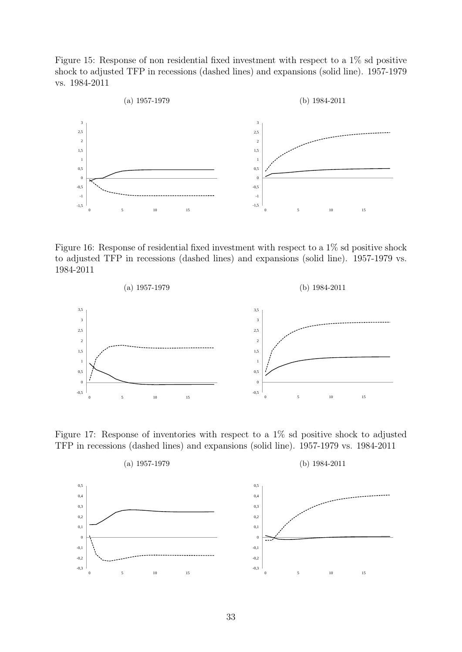Figure 15: Response of non residential fixed investment with respect to a 1% sd positive shock to adjusted TFP in recessions (dashed lines) and expansions (solid line). 1957-1979 vs. 1984-2011



Figure 16: Response of residential fixed investment with respect to a 1% sd positive shock to adjusted TFP in recessions (dashed lines) and expansions (solid line). 1957-1979 vs. 1984-2011



Figure 17: Response of inventories with respect to a 1% sd positive shock to adjusted TFP in recessions (dashed lines) and expansions (solid line). 1957-1979 vs. 1984-2011

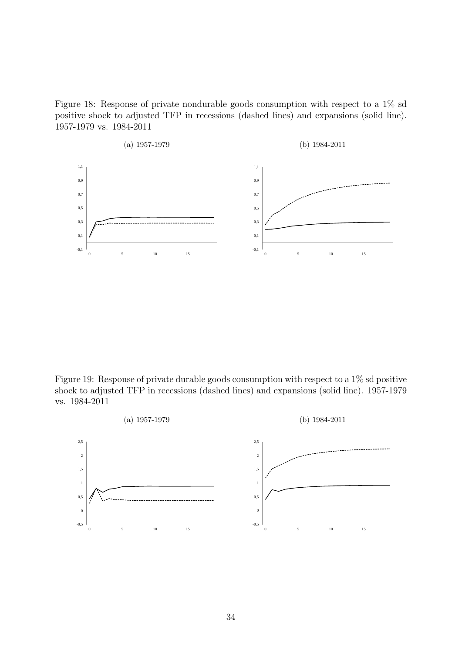Figure 18: Response of private nondurable goods consumption with respect to a 1% sd positive shock to adjusted TFP in recessions (dashed lines) and expansions (solid line). 1957-1979 vs. 1984-2011



Figure 19: Response of private durable goods consumption with respect to a 1% sd positive shock to adjusted TFP in recessions (dashed lines) and expansions (solid line). 1957-1979 vs. 1984-2011

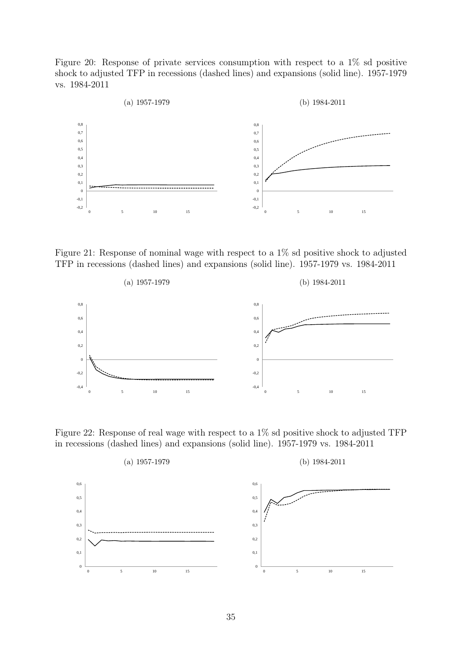Figure 20: Response of private services consumption with respect to a 1% sd positive shock to adjusted TFP in recessions (dashed lines) and expansions (solid line). 1957-1979 vs. 1984-2011



Figure 21: Response of nominal wage with respect to a 1% sd positive shock to adjusted TFP in recessions (dashed lines) and expansions (solid line). 1957-1979 vs. 1984-2011



Figure 22: Response of real wage with respect to a 1% sd positive shock to adjusted TFP in recessions (dashed lines) and expansions (solid line). 1957-1979 vs. 1984-2011